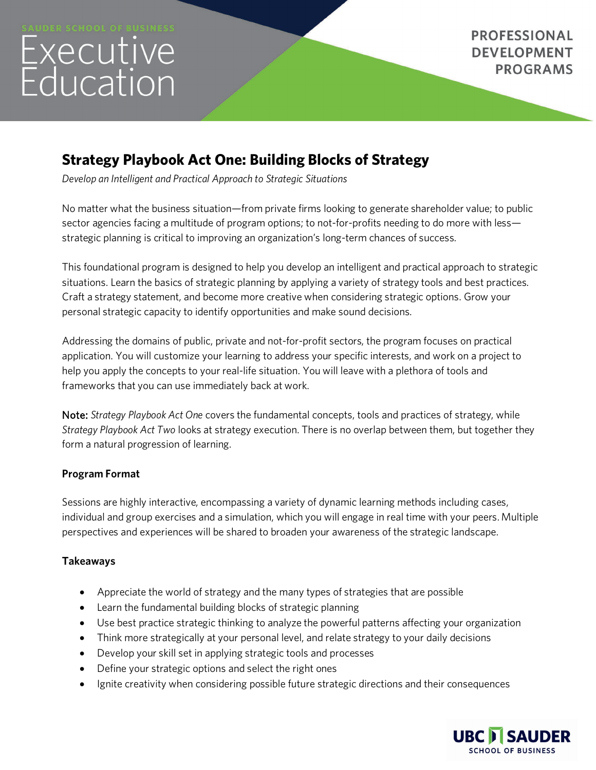# Executive<br>Education

# **Strategy Playbook Act One: Building Blocks of Strategy**

*Develop an Intelligent and Practical Approach to Strategic Situations*

No matter what the business situation—from private firms looking to generate shareholder value; to public sector agencies facing a multitude of program options; to not-for-profits needing to do more with less strategic planning is critical to improving an organization's long-term chances of success.

This foundational program is designed to help you develop an intelligent and practical approach to strategic situations. Learn the basics of strategic planning by applying a variety of strategy tools and best practices. Craft a strategy statement, and become more creative when considering strategic options. Grow your personal strategic capacity to identify opportunities and make sound decisions.

Addressing the domains of public, private and not-for-profit sectors, the program focuses on practical application. You will customize your learning to address your specific interests, and work on a project to help you apply the concepts to your real-life situation. You will leave with a plethora of tools and frameworks that you can use immediately back at work.

Note: *Strategy Playbook Act One* covers the fundamental concepts, tools and practices of strategy, while *Strategy Playbook Act Two* looks at strategy execution. There is no overlap between them, but together they form a natural progression of learning.

## **Program Format**

Sessions are highly interactive, encompassing a variety of dynamic learning methods including cases, individual and group exercises and a simulation, which you will engage in real time with your peers. Multiple perspectives and experiences will be shared to broaden your awareness of the strategic landscape.

## **Takeaways**

- Appreciate the world of strategy and the many types of strategies that are possible
- Learn the fundamental building blocks of strategic planning
- Use best practice strategic thinking to analyze the powerful patterns affecting your organization
- Think more strategically at your personal level, and relate strategy to your daily decisions
- Develop your skill set in applying strategic tools and processes
- Define your strategic options and select the right ones
- Ignite creativity when considering possible future strategic directions and their consequences

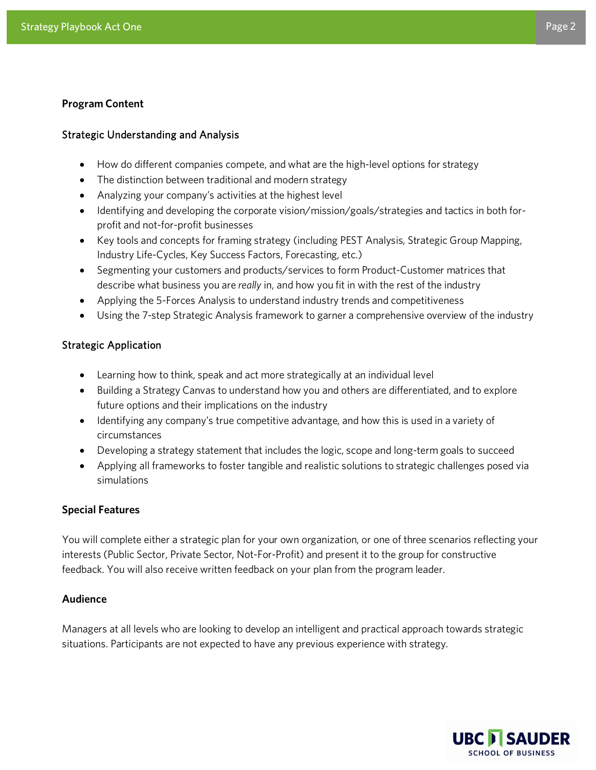### **Program Content**

### Strategic Understanding and Analysis

- How do different companies compete, and what are the high-level options for strategy
- The distinction between traditional and modern strategy
- Analyzing your company's activities at the highest level
- Identifying and developing the corporate vision/mission/goals/strategies and tactics in both forprofit and not-for-profit businesses
- Key tools and concepts for framing strategy (including PEST Analysis, Strategic Group Mapping, Industry Life-Cycles, Key Success Factors, Forecasting, etc.)
- Segmenting your customers and products/services to form Product-Customer matrices that describe what business you are *really* in, and how you fit in with the rest of the industry
- Applying the 5-Forces Analysis to understand industry trends and competitiveness
- Using the 7-step Strategic Analysis framework to garner a comprehensive overview of the industry

### Strategic Application

- Learning how to think, speak and act more strategically at an individual level
- Building a Strategy Canvas to understand how you and others are differentiated, and to explore future options and their implications on the industry
- Identifying any company's true competitive advantage, and how this is used in a variety of circumstances
- Developing a strategy statement that includes the logic, scope and long-term goals to succeed
- Applying all frameworks to foster tangible and realistic solutions to strategic challenges posed via simulations

### **Special Features**

You will complete either a strategic plan for your own organization, or one of three scenarios reflecting your interests (Public Sector, Private Sector, Not-For-Profit) and present it to the group for constructive feedback. You will also receive written feedback on your plan from the program leader.

### **Audience**

Managers at all levels who are looking to develop an intelligent and practical approach towards strategic situations. Participants are not expected to have any previous experience with strategy.